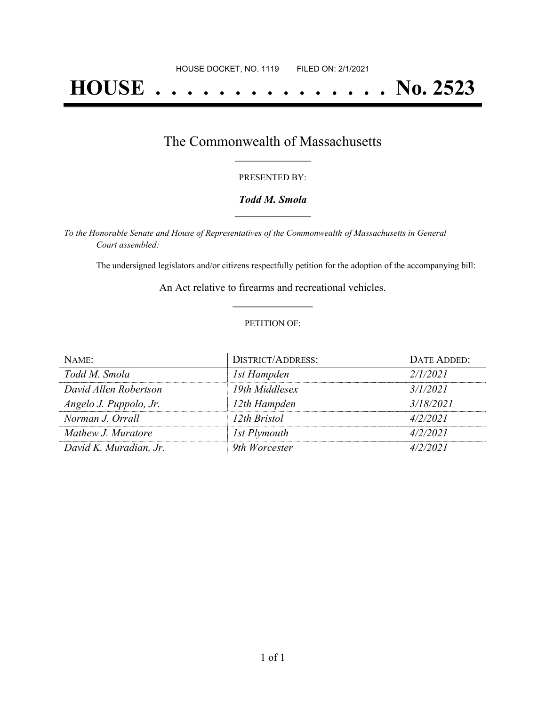# **HOUSE . . . . . . . . . . . . . . . No. 2523**

## The Commonwealth of Massachusetts **\_\_\_\_\_\_\_\_\_\_\_\_\_\_\_\_\_**

#### PRESENTED BY:

#### *Todd M. Smola* **\_\_\_\_\_\_\_\_\_\_\_\_\_\_\_\_\_**

*To the Honorable Senate and House of Representatives of the Commonwealth of Massachusetts in General Court assembled:*

The undersigned legislators and/or citizens respectfully petition for the adoption of the accompanying bill:

An Act relative to firearms and recreational vehicles. **\_\_\_\_\_\_\_\_\_\_\_\_\_\_\_**

#### PETITION OF:

| $N$ AME:               | <b>DISTRICT/ADDRESS:</b> | DATE ADDED: |
|------------------------|--------------------------|-------------|
| Todd M. Smola          | 1st Hampden              | 2/1/2021    |
| David Allen Robertson  | 19th Middlesex           | 3/1/2021    |
| Angelo J. Puppolo, Jr. | 12th Hampden             | 3/18/2021   |
| Norman J. Orrall       | 12th Bristol             | 4/2/2021    |
| Mathew J. Muratore     | 1st Plymouth             | 4/2/2021    |
| David K. Muradian, Jr. | 9th Worcester            | 4/2/2021    |